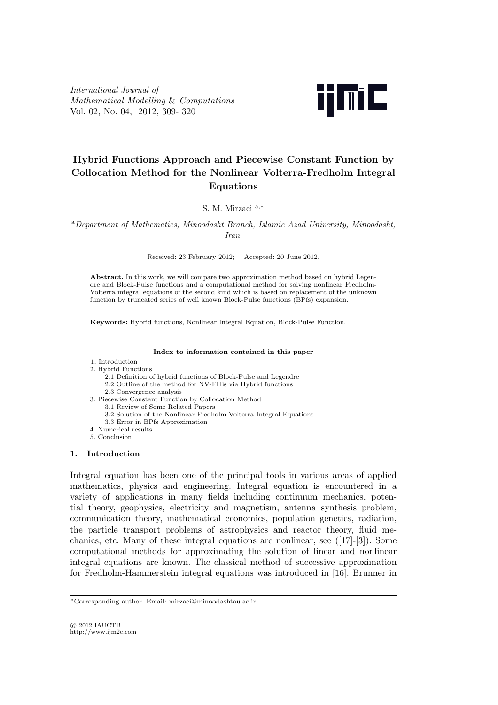*International Journal of Mathematical Modelling* & *Computations* Vol. 02, No. 04, 2012, 309- 320



# **Hybrid Functions Approach and Piecewise Constant Function by Collocation Method for the Nonlinear Volterra-Fredholm Integral Equations**

S. M. Mirzaei <sup>a</sup>*,<sup>∗</sup>*

<sup>a</sup>*Department of Mathematics, Minoodasht Branch, Islamic Azad University, Minoodasht, Iran*.

Received: 23 February 2012; Accepted: 20 June 2012.

**Abstract.** In this work, we will compare two approximation method based on hybrid Legendre and Block-Pulse functions and a computational method for solving nonlinear Fredholm-Volterra integral equations of the second kind which is based on replacement of the unknown function by truncated series of well known Block-Pulse functions (BPfs) expansion.

**Keywords:** Hybrid functions, Nonlinear Integral Equation, Block-Pulse Function.

#### **Index to information contained in this paper**

## 1. Introduction

- 2. Hybrid Functions
	- 2.1 Definition of hybrid functions of Block-Pulse and Legendre
	- 2.2 Outline of the method for NV-FIEs via Hybrid functions
	- 2.3 Convergence analysis
- 3. Piecewise Constant Function by Collocation Method
	- 3.1 Review of Some Related Papers 3.2 Solution of the Nonlinear Fredholm-Volterra Integral Equations
	- 3.3 Error in BPfs Approximation
- 4. Numerical results
- 5. Conclusion

### **1. Introduction**

Integral equation has been one of the principal tools in various areas of applied mathematics, physics and engineering. Integral equation is encountered in a variety of applications in many fields including continuum mechanics, potential theory, geophysics, electricity and magnetism, antenna synthesis problem, communication theory, mathematical economics, population genetics, radiation, the particle transport problems of astrophysics and reactor theory, fluid mechanics, etc. Many of these integral equations are nonlinear, see ([17]-[3]). Some computational methods for approximating the solution of linear and nonlinear integral equations are known. The classical method of successive approximation for Fredholm-Hammerstein integral equations was introduced in [16]. Brunner in

*<sup>∗</sup>*Corresponding author. Email: mirzaei@minoodashtau.ac.ir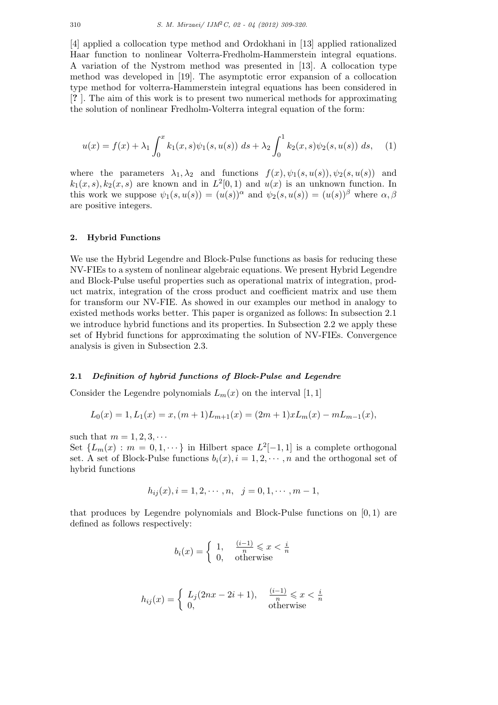[4] applied a collocation type method and Ordokhani in [13] applied rationalized Haar function to nonlinear Volterra-Fredholm-Hammerstein integral equations. A variation of the Nystrom method was presented in [13]. A collocation type method was developed in [19]. The asymptotic error expansion of a collocation type method for volterra-Hammerstein integral equations has been considered in [**?** ]. The aim of this work is to present two numerical methods for approximating the solution of nonlinear Fredholm-Volterra integral equation of the form:

$$
u(x) = f(x) + \lambda_1 \int_0^x k_1(x, s)\psi_1(s, u(s)) ds + \lambda_2 \int_0^1 k_2(x, s)\psi_2(s, u(s)) ds, \quad (1)
$$

where the parameters  $\lambda_1, \lambda_2$  and functions  $f(x), \psi_1(s, u(s)), \psi_2(s, u(s))$  and  $k_1(x, s)$ ,  $k_2(x, s)$  are known and in  $L^2[0, 1)$  and  $u(x)$  is an unknown function. In this work we suppose  $\psi_1(s, u(s)) = (u(s))^{\alpha}$  and  $\psi_2(s, u(s)) = (u(s))^{\beta}$  where  $\alpha, \beta$ are positive integers.

### **2. Hybrid Functions**

We use the Hybrid Legendre and Block-Pulse functions as basis for reducing these NV-FIEs to a system of nonlinear algebraic equations. We present Hybrid Legendre and Block-Pulse useful properties such as operational matrix of integration, product matrix, integration of the cross product and coefficient matrix and use them for transform our NV-FIE. As showed in our examples our method in analogy to existed methods works better. This paper is organized as follows: In subsection 2.1 we introduce hybrid functions and its properties. In Subsection 2.2 we apply these set of Hybrid functions for approximating the solution of NV-FIEs. Convergence analysis is given in Subsection 2.3.

#### **2.1** *Definition of hybrid functions of Block-Pulse and Legendre*

Consider the Legendre polynomials  $L_m(x)$  on the interval [1, 1]

$$
L_0(x) = 1, L_1(x) = x, (m+1)L_{m+1}(x) = (2m+1)xL_m(x) - mL_{m-1}(x),
$$

such that  $m = 1, 2, 3, \cdots$ 

Set  $\{L_m(x) : m = 0, 1, \dots\}$  in Hilbert space  $L^2[-1, 1]$  is a complete orthogonal set. A set of Block-Pulse functions  $b_i(x), i = 1, 2, \cdots, n$  and the orthogonal set of hybrid functions

$$
h_{ij}(x), i = 1, 2, \cdots, n, \quad j = 0, 1, \cdots, m - 1,
$$

that produces by Legendre polynomials and Block-Pulse functions on [0*,* 1) are defined as follows respectively:

$$
b_i(x) = \begin{cases} 1, & \frac{(i-1)}{n} \leq x < \frac{i}{n} \\ 0, & \text{otherwise} \end{cases}
$$

$$
h_{ij}(x) = \begin{cases} L_j(2nx - 2i + 1), & \frac{(i-1)}{n} \leq x < \frac{i}{n} \\ 0, & \text{otherwise} \end{cases}
$$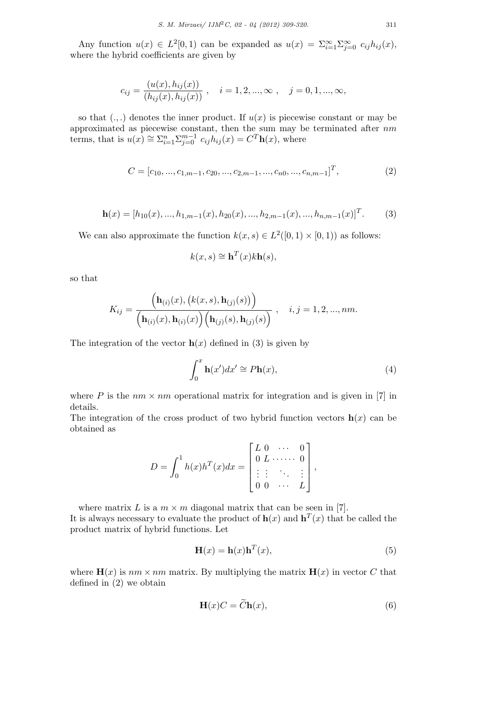Any function  $u(x) \in L^2[0,1)$  can be expanded as  $u(x) = \sum_{i=1}^{\infty} \sum_{j=0}^{\infty} c_{ij} h_{ij}(x)$ , where the hybrid coefficients are given by

$$
c_{ij} = \frac{(u(x), h_{ij}(x))}{(h_{ij}(x), h_{ij}(x))}, \quad i = 1, 2, ..., \infty , \quad j = 0, 1, ..., \infty,
$$

so that  $(.,.)$  denotes the inner product. If  $u(x)$  is piecewise constant or may be approximated as piecewise constant, then the sum may be terminated after *nm* terms, that is  $u(x) \cong \sum_{i=1}^{n} \sum_{j=0}^{m-1} c_{ij} h_{ij}(x) = C^{T} \mathbf{h}(x)$ , where

$$
C = [c_{10}, ..., c_{1,m-1}, c_{20}, ..., c_{2,m-1}, ..., c_{n0}, ..., c_{n,m-1}]^T,
$$
\n(2)

$$
\mathbf{h}(x) = [h_{10}(x), ..., h_{1,m-1}(x), h_{20}(x), ..., h_{2,m-1}(x), ..., h_{n,m-1}(x)]^T.
$$
 (3)

We can also approximate the function  $k(x, s) \in L^2([0, 1) \times [0, 1))$  as follows:

$$
k(x,s) \cong \mathbf{h}^T(x)k\mathbf{h}(s),
$$

so that

$$
K_{ij} = \frac{\left(\mathbf{h}_{(i)}(x), (k(x,s), \mathbf{h}_{(j)}(s))\right)}{\left(\mathbf{h}_{(i)}(x), \mathbf{h}_{(i)}(x)\right)\left(\mathbf{h}_{(j)}(s), \mathbf{h}_{(j)}(s)\right)}, \quad i, j = 1, 2, ..., nm.
$$

The integration of the vector  $h(x)$  defined in (3) is given by

$$
\int_0^x \mathbf{h}(x')dx' \cong P\mathbf{h}(x),\tag{4}
$$

where *P* is the  $nm \times nm$  operational matrix for integration and is given in [7] in details.

The integration of the cross product of two hybrid function vectors  $h(x)$  can be obtained as

$$
D = \int_0^1 h(x)h^{T}(x)dx = \begin{bmatrix} L & 0 & \cdots & 0 \\ 0 & L & \cdots & 0 \\ \vdots & \vdots & \ddots & \vdots \\ 0 & 0 & \cdots & L \end{bmatrix},
$$

where matrix *L* is a  $m \times m$  diagonal matrix that can be seen in [7]. It is always necessary to evaluate the product of  $h(x)$  and  $h^{T}(x)$  that be called the product matrix of hybrid functions. Let

$$
\mathbf{H}(x) = \mathbf{h}(x)\mathbf{h}^T(x),\tag{5}
$$

where  $\mathbf{H}(x)$  is  $nm \times nm$  matrix. By multiplying the matrix  $\mathbf{H}(x)$  in vector C that defined in (2) we obtain

$$
\mathbf{H}(x)C = \widetilde{C}\mathbf{h}(x),\tag{6}
$$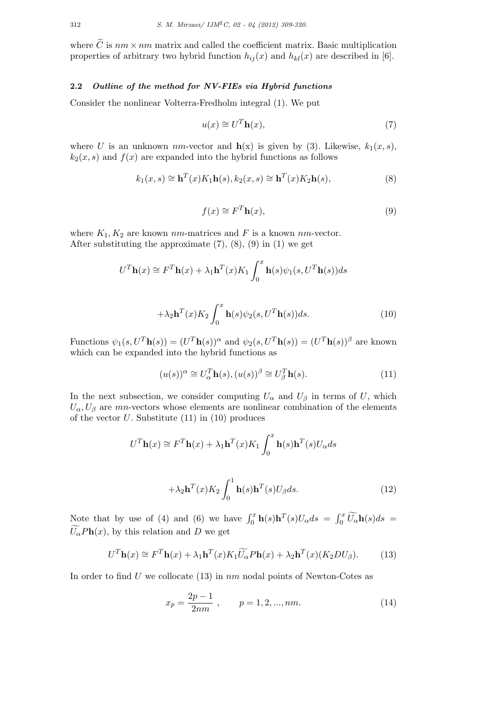where  $\tilde{C}$  is  $nm \times nm$  matrix and called the coefficient matrix. Basic multiplication properties of arbitrary two hybrid function  $h_{ij}(x)$  and  $h_{kl}(x)$  are described in [6].

## **2.2** *Outline of the method for NV-FIEs via Hybrid functions*

Consider the nonlinear Volterra-Fredholm integral (1). We put

$$
u(x) \cong U^T \mathbf{h}(x),\tag{7}
$$

where *U* is an unknown *nm*-vector and  $h(x)$  is given by (3). Likewise,  $k_1(x, s)$ ,  $k_2(x, s)$  and  $f(x)$  are expanded into the hybrid functions as follows

$$
k_1(x,s) \cong \mathbf{h}^T(x)K_1\mathbf{h}(s), k_2(x,s) \cong \mathbf{h}^T(x)K_2\mathbf{h}(s),
$$
\n(8)

$$
f(x) \cong F^T \mathbf{h}(x),\tag{9}
$$

where  $K_1, K_2$  are known  $nm$ -matrices and  $F$  is a known  $nm$ -vector. After substituting the approximate  $(7)$ ,  $(8)$ ,  $(9)$  in  $(1)$  we get

$$
U^{T}\mathbf{h}(x) \cong F^{T}\mathbf{h}(x) + \lambda_{1}\mathbf{h}^{T}(x)K_{1} \int_{0}^{x} \mathbf{h}(s)\psi_{1}(s,U^{T}\mathbf{h}(s))ds
$$

$$
+ \lambda_{2}\mathbf{h}^{T}(x)K_{2} \int_{0}^{x} \mathbf{h}(s)\psi_{2}(s,U^{T}\mathbf{h}(s))ds.
$$
(10)

Functions  $\psi_1(s, U^T \mathbf{h}(s)) = (U^T \mathbf{h}(s))^{\alpha}$  and  $\psi_2(s, U^T \mathbf{h}(s)) = (U^T \mathbf{h}(s))^{\beta}$  are known which can be expanded into the hybrid functions as

0

$$
(u(s))^{\alpha} \cong U_{\alpha}^{T} \mathbf{h}(s), (u(s))^{\beta} \cong U_{\beta}^{T} \mathbf{h}(s).
$$
 (11)

In the next subsection, we consider computing  $U_{\alpha}$  and  $U_{\beta}$  in terms of *U*, which  $U_{\alpha}, U_{\beta}$  are *mn*-vectors whose elements are nonlinear combination of the elements of the vector *U*. Substitute (11) in (10) produces

$$
U^{T}\mathbf{h}(x) \cong F^{T}\mathbf{h}(x) + \lambda_{1}\mathbf{h}^{T}(x)K_{1} \int_{0}^{x} \mathbf{h}(s)\mathbf{h}^{T}(s)U_{\alpha}ds
$$

$$
+ \lambda_{2}\mathbf{h}^{T}(x)K_{2} \int_{0}^{1} \mathbf{h}(s)\mathbf{h}^{T}(s)U_{\beta}ds.
$$
 (12)

Note that by use of (4) and (6) we have  $\int_0^x \mathbf{h}(s) \mathbf{h}^T(s) U_\alpha ds = \int_0^x \widetilde{U_\alpha} \mathbf{h}(s) ds = \widetilde{U_\alpha}$  $\overline{U}_{\alpha}$ *Ph*(*x*), by this relation and *D* we get

$$
U^T \mathbf{h}(x) \cong F^T \mathbf{h}(x) + \lambda_1 \mathbf{h}^T(x) K_1 \widetilde{U_{\alpha}} P \mathbf{h}(x) + \lambda_2 \mathbf{h}^T(x) (K_2 D U_{\beta}). \tag{13}
$$

In order to find *U* we collocate (13) in *nm* nodal points of Newton-Cotes as

$$
x_p = \frac{2p-1}{2nm}, \qquad p = 1, 2, ..., nm.
$$
 (14)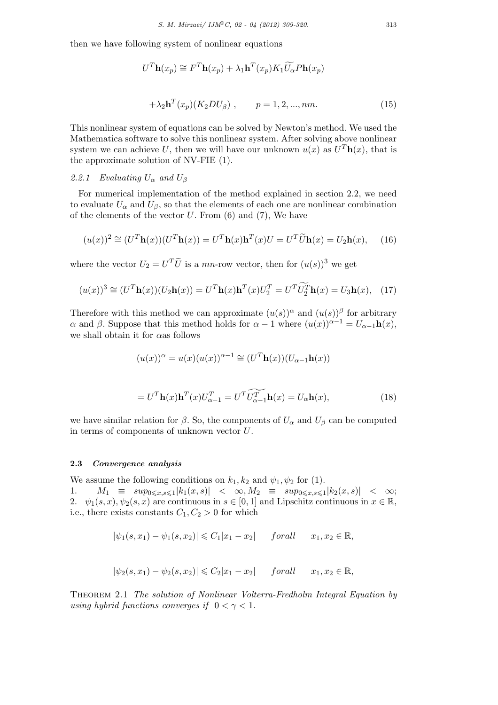then we have following system of nonlinear equations

$$
U^{T}\mathbf{h}(x_{p}) \cong F^{T}\mathbf{h}(x_{p}) + \lambda_{1}\mathbf{h}^{T}(x_{p})K_{1}\widetilde{U_{\alpha}}P\mathbf{h}(x_{p})
$$

$$
+ \lambda_{2}\mathbf{h}^{T}(x_{p})(K_{2}DU_{\beta}), \qquad p = 1, 2, ..., nm. \tag{15}
$$

This nonlinear system of equations can be solved by Newton's method. We used the Mathematica software to solve this nonlinear system. After solving above nonlinear system we can achieve U, then we will have our unknown  $u(x)$  as  $U<sup>T</sup>$ **h** $(x)$ , that is the approximate solution of NV-FIE (1).

## 2.2.1 Evaluating  $U_{\alpha}$  and  $U_{\beta}$

For numerical implementation of the method explained in section 2.2, we need to evaluate  $U_{\alpha}$  and  $U_{\beta}$ , so that the elements of each one are nonlinear combination of the elements of the vector *U*. From (6) and (7), We have

$$
(u(x))^2 \cong (U^T \mathbf{h}(x))(U^T \mathbf{h}(x)) = U^T \mathbf{h}(x) \mathbf{h}^T(x) U = U^T \widetilde{U} \mathbf{h}(x) = U_2 \mathbf{h}(x), \quad (16)
$$

where the vector  $U_2 = U^T \tilde{U}$  is a *mn*-row vector, then for  $(u(s))^3$  we get

$$
(u(x))^3 \cong (U^T \mathbf{h}(x))(U_2 \mathbf{h}(x)) = U^T \mathbf{h}(x) \mathbf{h}^T(x) U_2^T = U^T \widetilde{U_2^T} \mathbf{h}(x) = U_3 \mathbf{h}(x), \quad (17)
$$

Therefore with this method we can approximate  $(u(s))^{\alpha}$  and  $(u(s))^{\beta}$  for arbitrary *α* and *β*. Suppose that this method holds for  $α − 1$  where  $(u(x))^{α-1} = U_{α-1}h(x)$ , we shall obtain it for *α*as follows

$$
(u(x))^{\alpha} = u(x)(u(x))^{\alpha-1} \cong (U^{T}\mathbf{h}(x))(U_{\alpha-1}\mathbf{h}(x))
$$

$$
=UT \mathbf{h}(x) \mathbf{h}T(x) U\alpha-1T = UT \widetilde{U\alpha-1}^T \mathbf{h}(x) = U\alpha \mathbf{h}(x),
$$
\n(18)

we have similar relation for  $\beta$ . So, the components of  $U_{\alpha}$  and  $U_{\beta}$  can be computed in terms of components of unknown vector *U*.

#### **2.3** *Convergence analysis*

We assume the following conditions on  $k_1, k_2$  and  $\psi_1, \psi_2$  for (1).

1*.*  $M_1 \equiv \sup_{0 \le x, s \le 1} |k_1(x, s)| < \infty, M_2 \equiv \sup_{0 \le x, s \le 1} |k_2(x, s)| < \infty;$ 2*.*  $\psi_1(s, x), \psi_2(s, x)$  are continuous in  $s \in [0, 1]$  and Lipschitz continuous in  $x \in \mathbb{R}$ , i.e., there exists constants  $C_1, C_2 > 0$  for which

$$
|\psi_1(s, x_1) - \psi_1(s, x_2)| \leq C_1|x_1 - x_2|
$$
 for all  $x_1, x_2 \in \mathbb{R}$ ,

$$
|\psi_2(s, x_1) - \psi_2(s, x_2)| \leqslant C_2|x_1 - x_2| \quad \text{for all} \quad x_1, x_2 \in \mathbb{R},
$$

Theorem 2.1 *The solution of Nonlinear Volterra-Fredholm Integral Equation by using hybrid functions converges if*  $0 < \gamma < 1$ *.*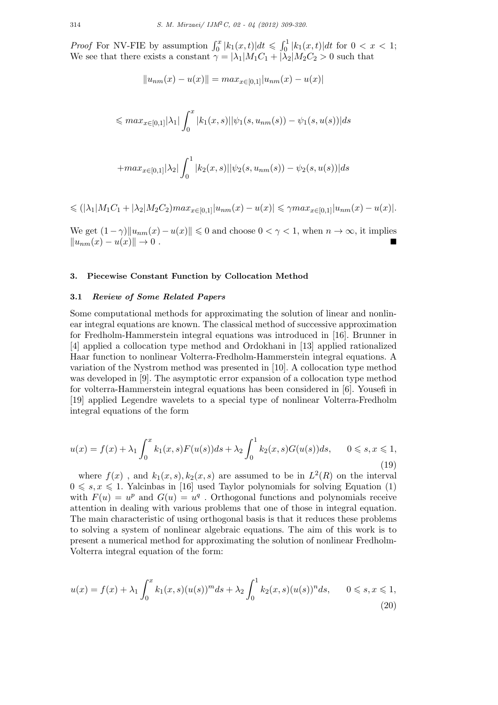*Proof* For NV-FIE by assumption  $\int_0^x |k_1(x,t)| dt \leq \int_0^1 |k_1(x,t)| dt$  for  $0 < x < 1$ ; We see that there exists a constant  $\gamma = |\lambda_1|M_1C_1 + |\lambda_2|M_2C_2 > 0$  such that

$$
||u_{nm}(x) - u(x)|| = max_{x \in [0,1]} |u_{nm}(x) - u(x)|
$$

$$
\leqslant max_{x \in [0,1]} |\lambda_1| \int_0^x |k_1(x,s)| |\psi_1(s,u_{nm}(s)) - \psi_1(s,u(s))| ds
$$

$$
+ max_{x \in [0,1]} |\lambda_2| \int_0^1 |k_2(x,s)| |\psi_2(s,u_{nm}(s)) - \psi_2(s,u(s))| ds
$$

$$
\leq (|\lambda_1| M_1 C_1 + |\lambda_2| M_2 C_2) max_{x \in [0,1]} |u_{nm}(x) - u(x)| \leq \gamma max_{x \in [0,1]} |u_{nm}(x) - u(x)|.
$$

We get  $(1 - \gamma) \|u_{nm}(x) - u(x)\| \leq 0$  and choose  $0 < \gamma < 1$ , when  $n \to \infty$ , it implies  $||u_{nm}(x) - u(x)||$  → 0.

#### **3. Piecewise Constant Function by Collocation Method**

## **3.1** *Review of Some Related Papers*

Some computational methods for approximating the solution of linear and nonlinear integral equations are known. The classical method of successive approximation for Fredholm-Hammerstein integral equations was introduced in [16]. Brunner in [4] applied a collocation type method and Ordokhani in [13] applied rationalized Haar function to nonlinear Volterra-Fredholm-Hammerstein integral equations. A variation of the Nystrom method was presented in [10]. A collocation type method was developed in [9]. The asymptotic error expansion of a collocation type method for volterra-Hammerstein integral equations has been considered in [6]. Yousefi in [19] applied Legendre wavelets to a special type of nonlinear Volterra-Fredholm integral equations of the form

$$
u(x) = f(x) + \lambda_1 \int_0^x k_1(x, s) F(u(s)) ds + \lambda_2 \int_0^1 k_2(x, s) G(u(s)) ds, \qquad 0 \le s, x \le 1,
$$
\n(19)

where  $f(x)$ , and  $k_1(x, s)$ ,  $k_2(x, s)$  are assumed to be in  $L^2(R)$  on the interval  $0 \leq s, x \leq 1$ . Yalcinbas in [16] used Taylor polynomials for solving Equation (1) with  $F(u) = u^p$  and  $G(u) = u^q$ . Orthogonal functions and polynomials receive attention in dealing with various problems that one of those in integral equation. The main characteristic of using orthogonal basis is that it reduces these problems to solving a system of nonlinear algebraic equations. The aim of this work is to present a numerical method for approximating the solution of nonlinear Fredholm-Volterra integral equation of the form:

$$
u(x) = f(x) + \lambda_1 \int_0^x k_1(x, s) (u(s))^m ds + \lambda_2 \int_0^1 k_2(x, s) (u(s))^n ds, \qquad 0 \le s, x \le 1,
$$
\n(20)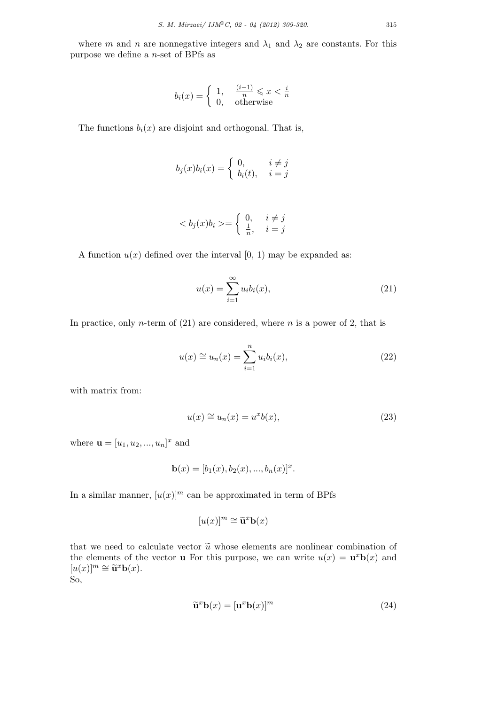where *m* and *n* are nonnegative integers and  $\lambda_1$  and  $\lambda_2$  are constants. For this purpose we define a *n*-set of BPfs as

$$
b_i(x) = \begin{cases} 1, & \frac{(i-1)}{n} \leqslant x < \frac{i}{n} \\ 0, & \text{otherwise} \end{cases}
$$

The functions  $b_i(x)$  are disjoint and orthogonal. That is,

$$
b_j(x)b_i(x) = \begin{cases} 0, & i \neq j \\ b_i(t), & i = j \end{cases}
$$

$$
\langle b_j(x)b_i \rangle = \begin{cases} 0, & i \neq j \\ \frac{1}{n}, & i = j \end{cases}
$$

A function  $u(x)$  defined over the interval  $[0, 1)$  may be expanded as:

$$
u(x) = \sum_{i=1}^{\infty} u_i b_i(x), \qquad (21)
$$

In practice, only *n*-term of (21) are considered, where *n* is a power of 2, that is

$$
u(x) \cong u_n(x) = \sum_{i=1}^n u_i b_i(x), \qquad (22)
$$

with matrix from:

$$
u(x) \cong u_n(x) = u^x b(x), \tag{23}
$$

where  $\mathbf{u} = [u_1, u_2, ..., u_n]^x$  and

$$
\mathbf{b}(x) = [b_1(x), b_2(x), ..., b_n(x)]^x.
$$

In a similar manner,  $[u(x)]^m$  can be approximated in term of BPfs

$$
[u(x)]^m \cong \tilde{\mathbf{u}}^x \mathbf{b}(x)
$$

that we need to calculate vector  $\tilde{u}$  whose elements are nonlinear combination of the elements of the vector **u** For this purpose, we can write  $u(x) = \mathbf{u}^x \mathbf{b}(x)$  and  $[u(x)]^m \cong \tilde{\mathbf{u}}^x \mathbf{b}(x)$ .<br>So So,

$$
\widetilde{\mathbf{u}}^x \mathbf{b}(x) = [\mathbf{u}^x \mathbf{b}(x)]^m \tag{24}
$$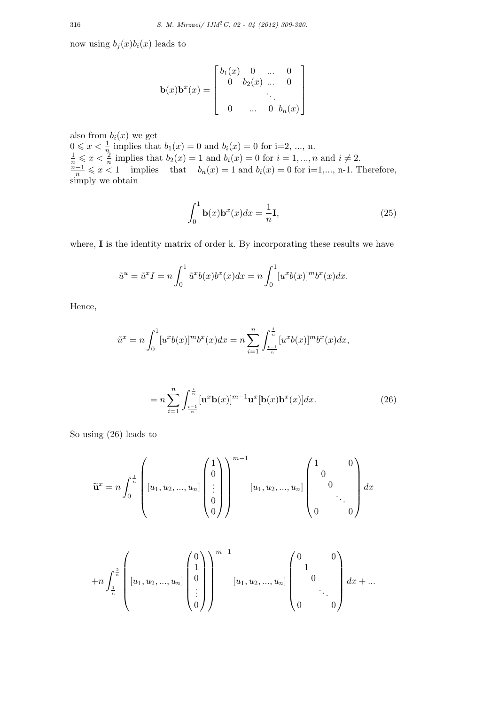now using  $b_j(x)b_i(x)$  leads to

$$
\mathbf{b}(x)\mathbf{b}^{x}(x) = \begin{bmatrix} b_{1}(x) & 0 & \dots & 0 \\ 0 & b_{2}(x) & \dots & 0 \\ & & \ddots & \\ 0 & \dots & 0 & b_{n}(x) \end{bmatrix}
$$

also from  $b_i(x)$  we get  $0 \leq x < \frac{1}{n}$  implies that  $b_1(x) = 0$  and  $b_i(x) = 0$  for i=2, ..., n.  $\frac{1}{n} \leq x < \frac{2}{n}$  implies that  $b_2(x) = 1$  and  $b_i(x) = 0$  for  $i = 1, ..., n$  and  $i \neq 2$ .  $\frac{n-1}{n} \leq x < 1$  implies that  $b_n(x) = 1$  and  $b_i(x) = 0$  for i=1,..., n-1. Therefore, simply we obtain

$$
\int_0^1 \mathbf{b}(x)\mathbf{b}^x(x)dx = \frac{1}{n}\mathbf{I},
$$
\n(25)

where, **I** is the identity matrix of order k. By incorporating these results we have

$$
\tilde{u}^u = \tilde{u}^x I = n \int_0^1 \tilde{u}^x b(x) b^x(x) dx = n \int_0^1 [u^x b(x)]^m b^x(x) dx.
$$

Hence,

$$
\tilde{u}^x = n \int_0^1 [u^x b(x)]^m b^x(x) dx = n \sum_{i=1}^n \int_{\frac{i-1}{n}}^{\frac{i}{n}} [u^x b(x)]^m b^x(x) dx,
$$

$$
= n \sum_{i=1}^{n} \int_{\frac{i-1}{n}}^{\frac{i}{n}} [\mathbf{u}^x \mathbf{b}(x)]^{m-1} \mathbf{u}^x [\mathbf{b}(x) \mathbf{b}^x(x)] dx.
$$
 (26)

So using (26) leads to

$$
\widetilde{\mathbf{u}}^x = n \int_0^{\frac{1}{n}} \begin{pmatrix} 1 \\ [u_1, u_2, ..., u_n] \begin{pmatrix} 1 \\ 0 \\ \vdots \\ 0 \end{pmatrix} \end{pmatrix}^{m-1} [u_1, u_2, ..., u_n] \begin{pmatrix} 1 & 0 \\ 0 & \\ 0 & \\ \vdots & \\ 0 & 0 \end{pmatrix} dx
$$

$$
+ n \int_{\frac{1}{n}}^{\frac{2}{n}} \left[ u_1, u_2, ..., u_n \right] \begin{pmatrix} 0 \\ 1 \\ 0 \\ \vdots \\ 0 \end{pmatrix} \right)^{m-1} [u_1, u_2, ..., u_n] \begin{pmatrix} 0 & 0 \\ 1 & 0 \\ 0 & \ddots \\ 0 & 0 \end{pmatrix} dx + ...
$$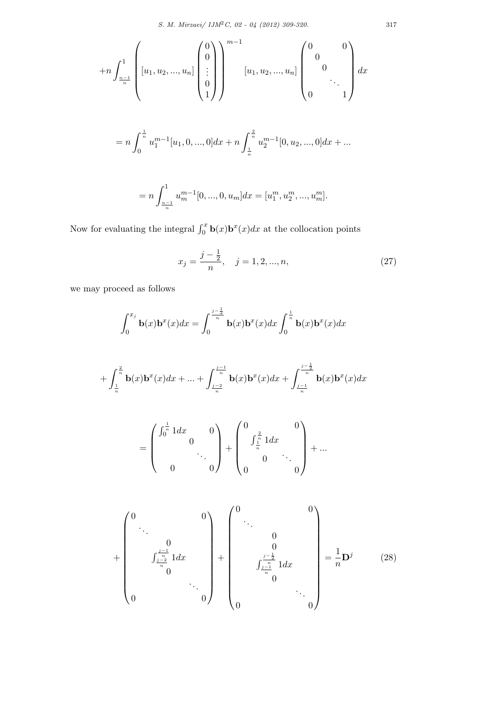$$
+n\int_{\frac{n-1}{n}}^{1} \left[ u_1, u_2, ..., u_n \right] \begin{pmatrix} 0 \\ 0 \\ \vdots \\ 0 \end{pmatrix} \begin{pmatrix} m-1 \\ [u_1, u_2, ..., u_n] \begin{pmatrix} 0 & 0 \\ 0 & \\ \vdots \\ 0 & 1 \end{pmatrix} dx
$$
  
=  $n\int_{0}^{\frac{1}{n}} u_1^{m-1}[u_1, 0, ..., 0] dx + n\int_{\frac{1}{n}}^{\frac{2}{n}} u_2^{m-1}[0, u_2, ..., 0] dx + ...$   
=  $n\int_{\frac{n-1}{n}}^{1} u_m^{m-1}[0, ..., 0, u_m] dx = [u_1^m, u_2^m, ..., u_m^m].$ 

Now for evaluating the integral  $\int_0^x \mathbf{b}(x) \mathbf{b}^x(x) dx$  at the collocation points

$$
x_j = \frac{j - \frac{1}{2}}{n}, \quad j = 1, 2, ..., n,
$$
\n(27)

we may proceed as follows

$$
\int_0^{x_j} \mathbf{b}(x) \mathbf{b}^x(x) dx = \int_0^{\frac{j-\frac{1}{2}}{n}} \mathbf{b}(x) \mathbf{b}^x(x) dx \int_0^{\frac{1}{n}} \mathbf{b}(x) \mathbf{b}^x(x) dx
$$

$$
+\int_{\frac{1}{n}}^{\frac{2}{n}} \mathbf{b}(x) \mathbf{b}^{x}(x) dx + ... + \int_{\frac{j-2}{n}}^{\frac{j-1}{n}} \mathbf{b}(x) \mathbf{b}^{x}(x) dx + \int_{\frac{j-1}{n}}^{\frac{j-\frac{1}{2}}{n}} \mathbf{b}(x) \mathbf{b}^{x}(x) dx
$$

$$
= \begin{pmatrix} \int_0^{\frac{1}{n}} 1 dx & 0 \\ 0 & \ddots \\ 0 & 0 \end{pmatrix} + \begin{pmatrix} 0 & 0 \\ \int_{\frac{1}{n}}^{\frac{2}{n}} 1 dx & 0 \\ 0 & \ddots \\ 0 & 0 \end{pmatrix} + \dots
$$

$$
+\begin{pmatrix} 0 & & & & 0 \\ & \ddots & & & \\ & & 0 & & \\ & & \int_{\frac{j-1}{n}}^{j-1} 1 dx & & \\ & & 0 & & \\ 0 & & & & 0 \end{pmatrix} + \begin{pmatrix} 0 & & & & 0 \\ & \ddots & & & \\ & & 0 & & \\ & & \int_{\frac{j-1}{n}}^{0} 1 dx & & \\ & & \int_{\frac{j-1}{n}}^{0} 1 dx & & \\ & & 0 & & \\ & & & & 0 \end{pmatrix} = \frac{1}{n} \mathbf{D}^{j} \qquad (28)
$$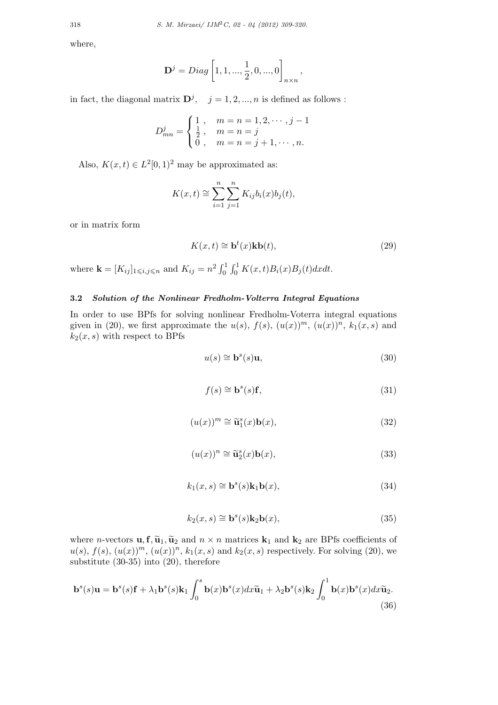where,

$$
\mathbf{D}^{j} = Diag\left[1, 1, ..., \frac{1}{2}, 0, ..., 0\right]_{n \times n},
$$

in fact, the diagonal matrix  $\mathbf{D}^j$ ,  $j = 1, 2, ..., n$  is defined as follows :

$$
D_{mn}^{j} = \begin{cases} 1, & m = n = 1, 2, \cdots, j - 1 \\ \frac{1}{2}, & m = n = j \\ 0, & m = n = j + 1, \cdots, n. \end{cases}
$$

Also,  $K(x,t) \in L^2[0,1)^2$  may be approximated as:

$$
K(x,t) \cong \sum_{i=1}^{n} \sum_{j=1}^{n} K_{ij} b_i(x) b_j(t),
$$

or in matrix form

$$
K(x,t) \cong \mathbf{b}^t(x)\mathbf{k}\mathbf{b}(t),\tag{29}
$$

where  $\mathbf{k} = [K_{ij}]_{1 \leq i,j \leq n}$  and  $K_{ij} = n^2 \int_0^1 \int_0^1 K(x,t) B_i(x) B_j(t) dx dt$ .

## **3.2** *Solution of the Nonlinear Fredholm-Volterra Integral Equations*

In order to use BPfs for solving nonlinear Fredholm-Voterra integral equations given in (20), we first approximate the  $u(s)$ ,  $f(s)$ ,  $(u(x))^m$ ,  $(u(x))^n$ ,  $k_1(x, s)$  and  $k_2(x, s)$  with respect to BPfs

$$
u(s) \cong \mathbf{b}^s(s)\mathbf{u},\tag{30}
$$

$$
f(s) \cong \mathbf{b}^s(s)\mathbf{f},\tag{31}
$$

$$
(u(x))^m \cong \widetilde{\mathbf{u}}_1^s(x)\mathbf{b}(x),\tag{32}
$$

$$
(u(x))^n \cong \tilde{\mathbf{u}}_2^s(x)\mathbf{b}(x),\tag{33}
$$

$$
k_1(x,s) \cong \mathbf{b}^s(s)\mathbf{k}_1\mathbf{b}(x),\tag{34}
$$

$$
k_2(x,s) \cong \mathbf{b}^s(s) \mathbf{k}_2 \mathbf{b}(x),\tag{35}
$$

where *n*-vectors **u**, **f**,  $\tilde{\mathbf{u}}_1$ ,  $\tilde{\mathbf{u}}_2$  and  $n \times n$  matrices  $\mathbf{k}_1$  and  $\mathbf{k}_2$  are BPfs coefficients of  $u(s)$ ,  $f(s)$ ,  $(u(x))^m$ ,  $(u(x))^n$ ,  $k_1(x, s)$  and  $k_2(x, s)$  respectively. For solving (20), we substitute (30-35) into (20), therefore

$$
\mathbf{b}^s(s)\mathbf{u} = \mathbf{b}^s(s)\mathbf{f} + \lambda_1 \mathbf{b}^s(s)\mathbf{k}_1 \int_0^s \mathbf{b}(x)\mathbf{b}^s(x)dx\widetilde{\mathbf{u}}_1 + \lambda_2 \mathbf{b}^s(s)\mathbf{k}_2 \int_0^1 \mathbf{b}(x)\mathbf{b}^s(x)dx\widetilde{\mathbf{u}}_2.
$$
\n(36)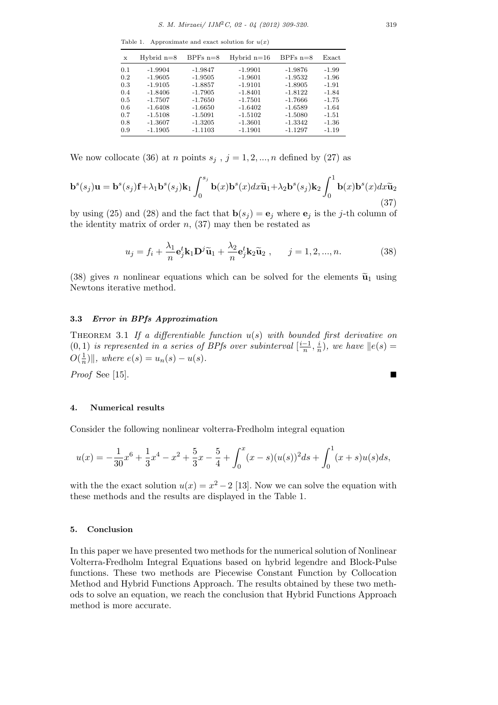Table 1. Approximate and exact solution for  $u(x)$ 

| X   | Hybrid $n=8$ | BPFs $n=8$ | Hybrid $n=16$ | BPFs $n=8$ | Exact   |
|-----|--------------|------------|---------------|------------|---------|
| 0.1 | $-1.9904$    | $-1.9847$  | $-1.9901$     | $-1.9876$  | $-1.99$ |
| 0.2 | $-1.9605$    | $-1.9505$  | $-1.9601$     | $-1.9532$  | $-1.96$ |
| 0.3 | $-1.9105$    | $-1.8857$  | $-1.9101$     | $-1.8905$  | $-1.91$ |
| 0.4 | $-1.8406$    | $-1.7905$  | $-1.8401$     | $-1.8122$  | $-1.84$ |
| 0.5 | $-1.7507$    | $-1.7650$  | $-1.7501$     | $-1.7666$  | $-1.75$ |
| 0.6 | $-1.6408$    | $-1.6650$  | $-1.6402$     | $-1.6589$  | $-1.64$ |
| 0.7 | $-1.5108$    | $-1.5091$  | $-1.5102$     | $-1.5080$  | $-1.51$ |
| 0.8 | $-1.3607$    | $-1.3205$  | $-1.3601$     | $-1.3342$  | $-1.36$ |
| 0.9 | $-1.1905$    | $-1.1103$  | $-1.1901$     | $-1.1297$  | $-1.19$ |

We now collocate (36) at *n* points  $s_j$ ,  $j = 1, 2, ..., n$  defined by (27) as

$$
\mathbf{b}^{s}(s_{j})\mathbf{u} = \mathbf{b}^{s}(s_{j})\mathbf{f} + \lambda_{1}\mathbf{b}^{s}(s_{j})\mathbf{k}_{1} \int_{0}^{s_{j}} \mathbf{b}(x)\mathbf{b}^{s}(x)dx\widetilde{\mathbf{u}}_{1} + \lambda_{2}\mathbf{b}^{s}(s_{j})\mathbf{k}_{2} \int_{0}^{1} \mathbf{b}(x)\mathbf{b}^{s}(x)dx\widetilde{\mathbf{u}}_{2}
$$
\n(37)

by using (25) and (28) and the fact that  $\mathbf{b}(s_j) = \mathbf{e}_j$  where  $\mathbf{e}_j$  is the *j*-th column of the identity matrix of order  $n$ ,  $(37)$  may then be restated as

$$
u_j = f_i + \frac{\lambda_1}{n} \mathbf{e}_j^t \mathbf{k}_1 \mathbf{D}^j \widetilde{\mathbf{u}}_1 + \frac{\lambda_2}{n} \mathbf{e}_j^t \mathbf{k}_2 \widetilde{\mathbf{u}}_2 , \qquad j = 1, 2, ..., n.
$$
 (38)

(38) gives *n* nonlinear equations which can be solved for the elements  $\tilde{u}_1$  using Newtons iterative method.

#### **3.3** *Error in BPfs Approximation*

Theorem 3.1 *If a differentiable function u*(*s*) *with bounded first derivative on*  $(0,1)$  *is represented in a series of BPfs over subinterval*  $\left[\frac{i-1}{n}, \frac{i}{n}\right]$  $\frac{i}{n}$ , we have  $||e(s)|$  $O(\frac{1}{n})$  $\frac{1}{n}$ )||, where  $e(s) = u_n(s) - u(s)$ .

*Proof* See [15].

#### **4. Numerical results**

Consider the following nonlinear volterra-Fredholm integral equation

$$
u(x) = -\frac{1}{30}x^6 + \frac{1}{3}x^4 - x^2 + \frac{5}{3}x - \frac{5}{4} + \int_0^x (x-s)(u(s))^2 ds + \int_0^1 (x+s)u(s)ds,
$$

with the the exact solution  $u(x) = x^2 - 2$  [13]. Now we can solve the equation with these methods and the results are displayed in the Table 1.

#### **5. Conclusion**

In this paper we have presented two methods for the numerical solution of Nonlinear Volterra-Fredholm Integral Equations based on hybrid legendre and Block-Pulse functions. These two methods are Piecewise Constant Function by Collocation Method and Hybrid Functions Approach. The results obtained by these two methods to solve an equation, we reach the conclusion that Hybrid Functions Approach method is more accurate.